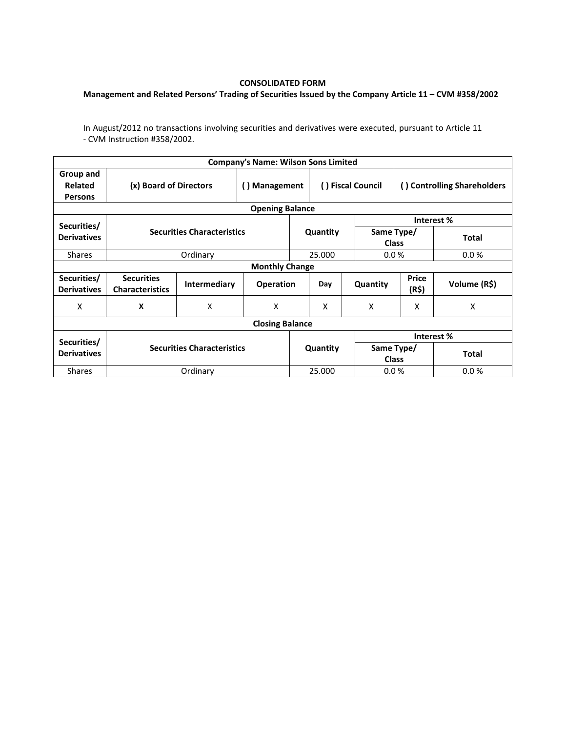## **CONSOLIDATED FORM**

## **Management and Related Persons' Trading of Securities Issued by the Company Article 11 – CVM #358/2002**

In August/2012 no transactions involving securities and derivatives were executed, pursuant to Article 11 - CVM Instruction #358/2002.

|                                        |                                             |                           | <b>Company's Name: Wilson Sons Limited</b> |                   |          |                             |                |              |  |  |  |
|----------------------------------------|---------------------------------------------|---------------------------|--------------------------------------------|-------------------|----------|-----------------------------|----------------|--------------|--|--|--|
| Group and<br>Related<br><b>Persons</b> | (x) Board of Directors                      | () Management             |                                            | () Fiscal Council |          | () Controlling Shareholders |                |              |  |  |  |
| <b>Opening Balance</b>                 |                                             |                           |                                            |                   |          |                             |                |              |  |  |  |
| Securities/                            | <b>Securities Characteristics</b>           |                           |                                            |                   |          | Interest %                  |                |              |  |  |  |
| <b>Derivatives</b>                     |                                             |                           |                                            |                   | Quantity | Same Type/<br><b>Class</b>  |                | <b>Total</b> |  |  |  |
| <b>Shares</b>                          |                                             | Ordinary                  |                                            |                   | 25.000   | 0.0%                        |                | 0.0%         |  |  |  |
| <b>Monthly Change</b>                  |                                             |                           |                                            |                   |          |                             |                |              |  |  |  |
| Securities/<br><b>Derivatives</b>      | <b>Securities</b><br><b>Characteristics</b> | <b>Intermediary</b>       | <b>Operation</b>                           |                   | Day      | Quantity                    | Price<br>(R\$) | Volume (R\$) |  |  |  |
| x                                      | X                                           | $\boldsymbol{\mathsf{X}}$ | X                                          |                   | X        | X                           | X              | X            |  |  |  |
| <b>Closing Balance</b>                 |                                             |                           |                                            |                   |          |                             |                |              |  |  |  |
| Securities/<br><b>Derivatives</b>      |                                             |                           |                                            |                   |          | Interest %                  |                |              |  |  |  |
|                                        | <b>Securities Characteristics</b>           |                           |                                            | Quantity          |          | Same Type/<br><b>Class</b>  |                | <b>Total</b> |  |  |  |
| <b>Shares</b>                          |                                             | Ordinary                  |                                            |                   | 25.000   |                             | 0.0%           | 0.0%         |  |  |  |